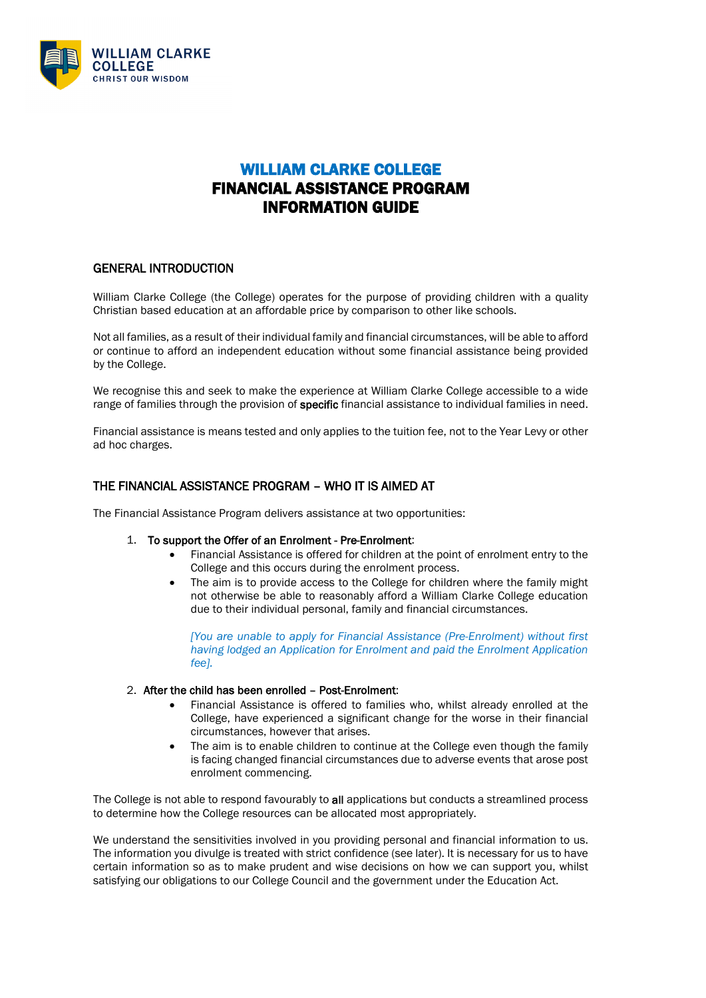

# WILLIAM CLARKE COLLEGE FINANCIAL ASSISTANCE PROGRAM INFORMATION GUIDE

## GENERAL INTRODUCTION

William Clarke College (the College) operates for the purpose of providing children with a quality Christian based education at an affordable price by comparison to other like schools.

Not all families, as a result of their individual family and financial circumstances, will be able to afford or continue to afford an independent education without some financial assistance being provided by the College.

We recognise this and seek to make the experience at William Clarke College accessible to a wide range of families through the provision of specific financial assistance to individual families in need.

Financial assistance is means tested and only applies to the tuition fee, not to the Year Levy or other ad hoc charges.

## THE FINANCIAL ASSISTANCE PROGRAM – WHO IT IS AIMED AT

The Financial Assistance Program delivers assistance at two opportunities:

## 1. To support the Offer of an Enrolment - Pre-Enrolment:

- Financial Assistance is offered for children at the point of enrolment entry to the College and this occurs during the enrolment process.
- The aim is to provide access to the College for children where the family might not otherwise be able to reasonably afford a William Clarke College education due to their individual personal, family and financial circumstances.

*[You are unable to apply for Financial Assistance (Pre-Enrolment) without first having lodged an Application for Enrolment and paid the Enrolment Application fee].*

## 2. After the child has been enrolled – Post-Enrolment:

- Financial Assistance is offered to families who, whilst already enrolled at the College, have experienced a significant change for the worse in their financial circumstances, however that arises.
- The aim is to enable children to continue at the College even though the family is facing changed financial circumstances due to adverse events that arose post enrolment commencing.

The College is not able to respond favourably to all applications but conducts a streamlined process to determine how the College resources can be allocated most appropriately.

We understand the sensitivities involved in you providing personal and financial information to us. The information you divulge is treated with strict confidence (see later). It is necessary for us to have certain information so as to make prudent and wise decisions on how we can support you, whilst satisfying our obligations to our College Council and the government under the Education Act.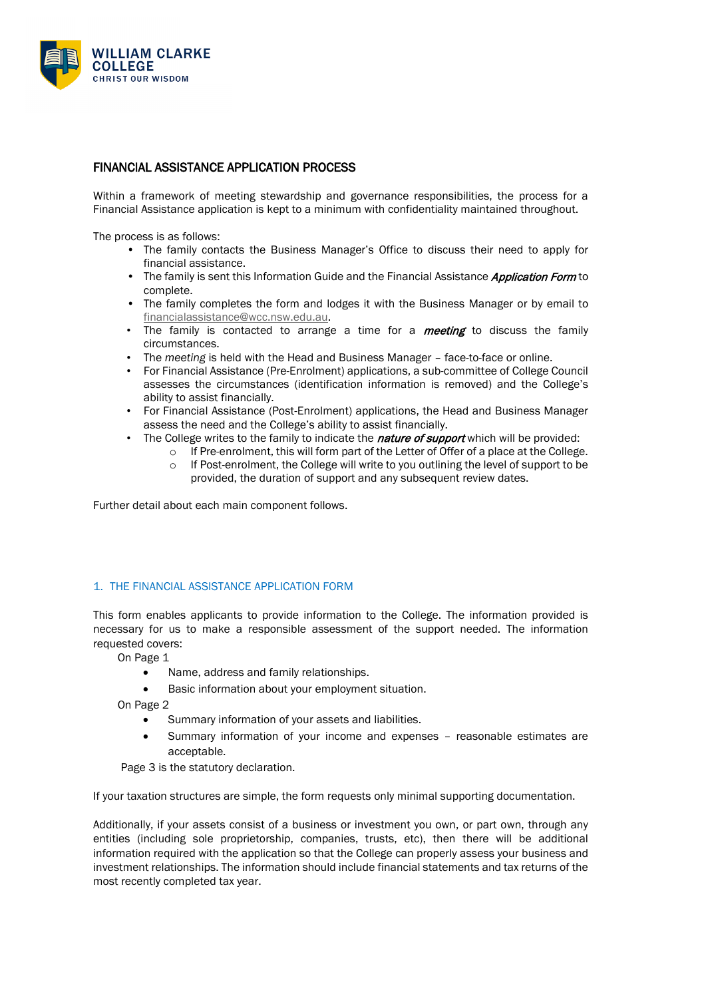

## FINANCIAL ASSISTANCE APPLICATION PROCESS

Within a framework of meeting stewardship and governance responsibilities, the process for a Financial Assistance application is kept to a minimum with confidentiality maintained throughout.

The process is as follows:

- The family contacts the Business Manager's Office to discuss their need to apply for financial assistance.
- The family is sent this Information Guide and the Financial Assistance *Application Form* to complete.
- The family completes the form and lodges it with the Business Manager or by email to [financialassistance@wcc.nsw.edu.au.](mailto:financialassistance@wcc.nsw.edu.au)
- The family is contacted to arrange a time for a *meeting* to discuss the family circumstances.
- The *meeting* is held with the Head and Business Manager face-to-face or online.
- For Financial Assistance (Pre-Enrolment) applications, a sub-committee of College Council assesses the circumstances (identification information is removed) and the College's ability to assist financially.
- For Financial Assistance (Post-Enrolment) applications, the Head and Business Manager assess the need and the College's ability to assist financially.
	- The College writes to the family to indicate the **nature of support** which will be provided:
		- $\circ$  If Pre-enrolment, this will form part of the Letter of Offer of a place at the College.
		- $\circ$  If Post-enrolment, the College will write to you outlining the level of support to be provided, the duration of support and any subsequent review dates.

Further detail about each main component follows.

#### 1. THE FINANCIAL ASSISTANCE APPLICATION FORM

This form enables applicants to provide information to the College. The information provided is necessary for us to make a responsible assessment of the support needed. The information requested covers:

On Page 1

- Name, address and family relationships.
- Basic information about your employment situation.

On Page 2

- Summary information of your assets and liabilities.
- Summary information of your income and expenses reasonable estimates are acceptable.

Page 3 is the statutory declaration.

If your taxation structures are simple, the form requests only minimal supporting documentation.

Additionally, if your assets consist of a business or investment you own, or part own, through any entities (including sole proprietorship, companies, trusts, etc), then there will be additional information required with the application so that the College can properly assess your business and investment relationships. The information should include financial statements and tax returns of the most recently completed tax year.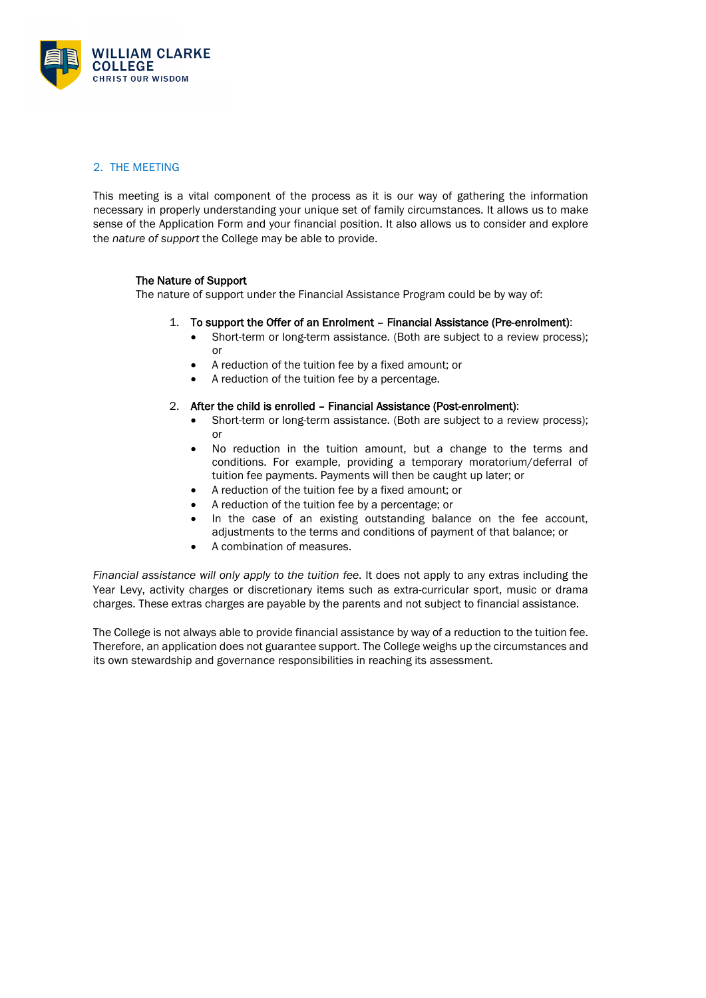

## 2. THE MEETING

This meeting is a vital component of the process as it is our way of gathering the information necessary in properly understanding your unique set of family circumstances. It allows us to make sense of the Application Form and your financial position. It also allows us to consider and explore the *nature of support* the College may be able to provide.

#### The Nature of Support

The nature of support under the Financial Assistance Program could be by way of:

- 1. To support the Offer of an Enrolment Financial Assistance (Pre-enrolment):
	- Short-term or long-term assistance. (Both are subject to a review process): or
	- A reduction of the tuition fee by a fixed amount; or
	- A reduction of the tuition fee by a percentage.

#### 2. After the child is enrolled – Financial Assistance (Post-enrolment):

- Short-term or long-term assistance. (Both are subject to a review process); or
- No reduction in the tuition amount, but a change to the terms and conditions. For example, providing a temporary moratorium/deferral of tuition fee payments. Payments will then be caught up later; or
- A reduction of the tuition fee by a fixed amount; or
- A reduction of the tuition fee by a percentage; or
- In the case of an existing outstanding balance on the fee account, adjustments to the terms and conditions of payment of that balance; or
- A combination of measures.

*Financial assistance will only apply to the tuition fee*. It does not apply to any extras including the Year Levy, activity charges or discretionary items such as extra-curricular sport, music or drama charges. These extras charges are payable by the parents and not subject to financial assistance.

The College is not always able to provide financial assistance by way of a reduction to the tuition fee. Therefore, an application does not guarantee support. The College weighs up the circumstances and its own stewardship and governance responsibilities in reaching its assessment.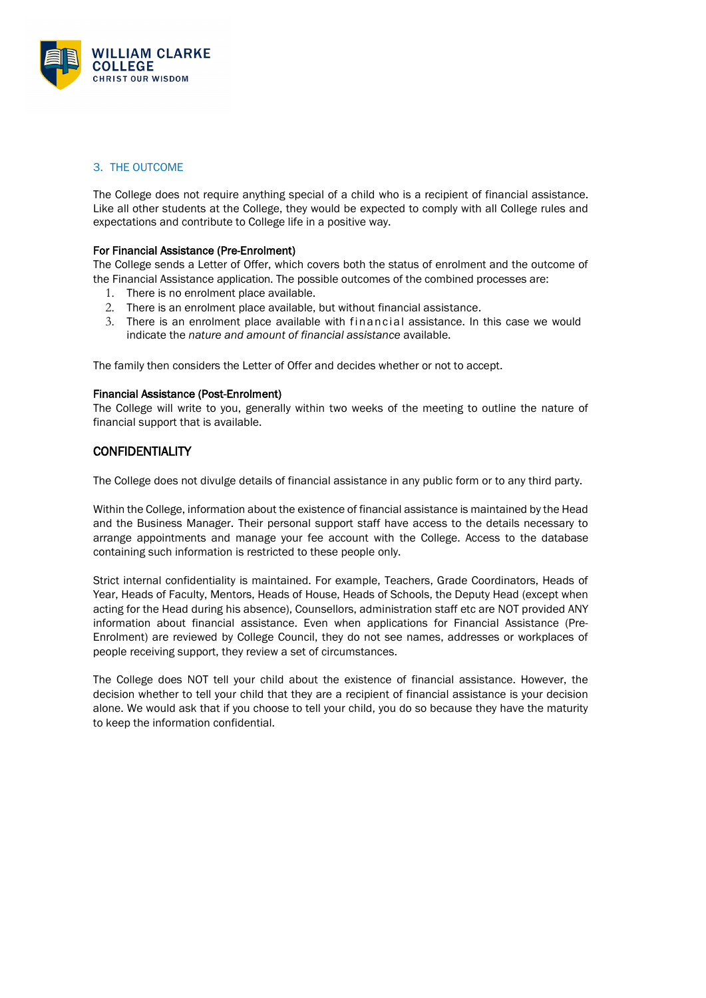

## 3. THE OUTCOME

The College does not require anything special of a child who is a recipient of financial assistance. Like all other students at the College, they would be expected to comply with all College rules and expectations and contribute to College life in a positive way.

#### For Financial Assistance (Pre-Enrolment)

The College sends a Letter of Offer, which covers both the status of enrolment and the outcome of the Financial Assistance application. The possible outcomes of the combined processes are:

- 1. There is no enrolment place available.
- 2. There is an enrolment place available, but without financial assistance.
- 3. There is an enrolment place available with financial assistance. In this case we would indicate the *nature and amount of financial assistance* available.

The family then considers the Letter of Offer and decides whether or not to accept.

#### Financial Assistance (Post-Enrolment)

The College will write to you, generally within two weeks of the meeting to outline the nature of financial support that is available.

## **CONFIDENTIALITY**

The College does not divulge details of financial assistance in any public form or to any third party.

Within the College, information about the existence of financial assistance is maintained by the Head and the Business Manager. Their personal support staff have access to the details necessary to arrange appointments and manage your fee account with the College. Access to the database containing such information is restricted to these people only.

Strict internal confidentiality is maintained. For example, Teachers, Grade Coordinators, Heads of Year, Heads of Faculty, Mentors, Heads of House, Heads of Schools, the Deputy Head (except when acting for the Head during his absence), Counsellors, administration staff etc are NOT provided ANY information about financial assistance. Even when applications for Financial Assistance (Pre-Enrolment) are reviewed by College Council, they do not see names, addresses or workplaces of people receiving support, they review a set of circumstances.

The College does NOT tell your child about the existence of financial assistance. However, the decision whether to tell your child that they are a recipient of financial assistance is your decision alone. We would ask that if you choose to tell your child, you do so because they have the maturity to keep the information confidential.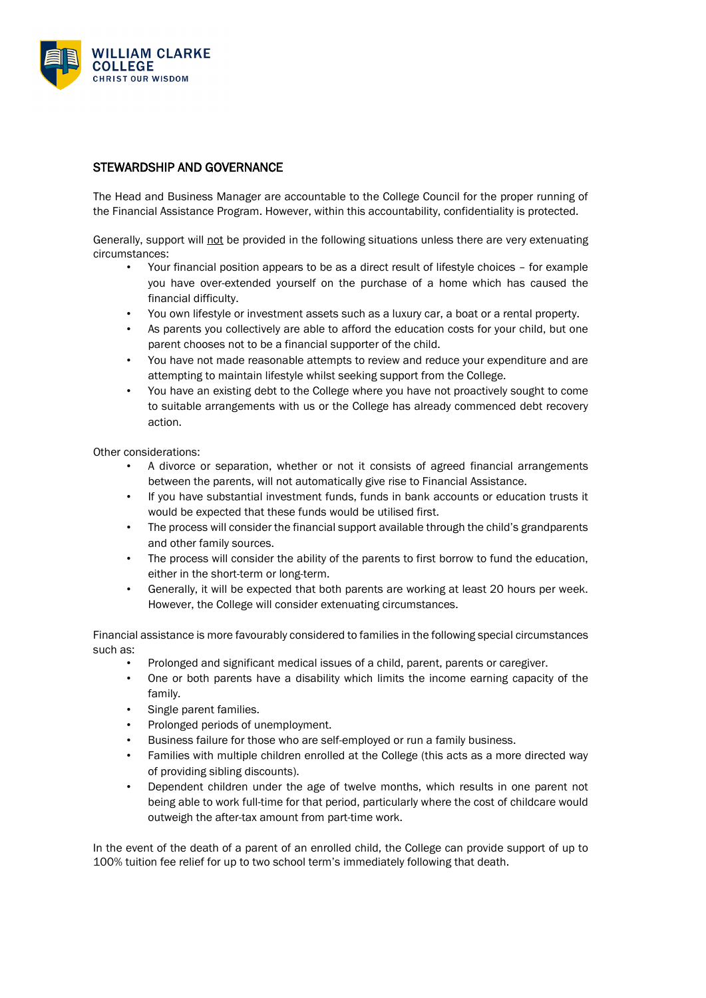

# STEWARDSHIP AND GOVERNANCE

The Head and Business Manager are accountable to the College Council for the proper running of the Financial Assistance Program. However, within this accountability, confidentiality is protected.

Generally, support will not be provided in the following situations unless there are very extenuating circumstances:

- Your financial position appears to be as a direct result of lifestyle choices for example you have over-extended yourself on the purchase of a home which has caused the financial difficulty.
- You own lifestyle or investment assets such as a luxury car, a boat or a rental property.
- As parents you collectively are able to afford the education costs for your child, but one parent chooses not to be a financial supporter of the child.
- You have not made reasonable attempts to review and reduce your expenditure and are attempting to maintain lifestyle whilst seeking support from the College.
- You have an existing debt to the College where you have not proactively sought to come to suitable arrangements with us or the College has already commenced debt recovery action.

Other considerations:

- A divorce or separation, whether or not it consists of agreed financial arrangements between the parents, will not automatically give rise to Financial Assistance.
- If you have substantial investment funds, funds in bank accounts or education trusts it would be expected that these funds would be utilised first.
- The process will consider the financial support available through the child's grandparents and other family sources.
- The process will consider the ability of the parents to first borrow to fund the education, either in the short-term or long-term.
- Generally, it will be expected that both parents are working at least 20 hours per week. However, the College will consider extenuating circumstances.

Financial assistance is more favourably considered to families in the following special circumstances such as:

- Prolonged and significant medical issues of a child, parent, parents or caregiver.
- One or both parents have a disability which limits the income earning capacity of the family.
- Single parent families.
- Prolonged periods of unemployment.
- Business failure for those who are self-employed or run a family business.
- Families with multiple children enrolled at the College (this acts as a more directed way of providing sibling discounts).
- Dependent children under the age of twelve months, which results in one parent not being able to work full-time for that period, particularly where the cost of childcare would outweigh the after-tax amount from part-time work.

In the event of the death of a parent of an enrolled child, the College can provide support of up to 100% tuition fee relief for up to two school term's immediately following that death.